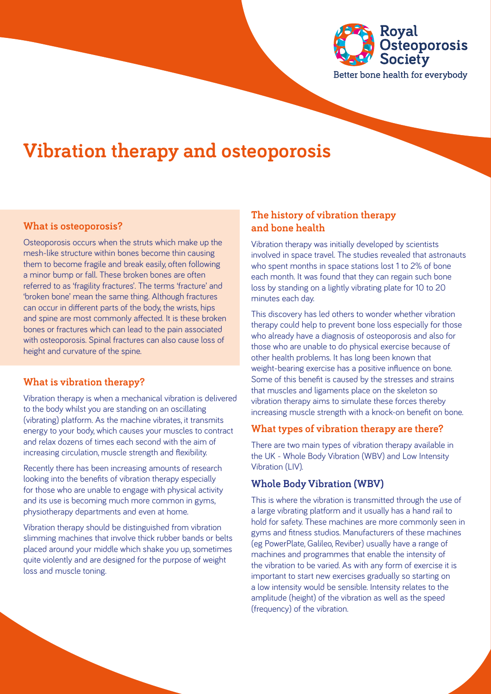

# **Vibration therapy and osteoporosis**

#### **What is osteoporosis?**

Osteoporosis occurs when the struts which make up the mesh-like structure within bones become thin causing them to become fragile and break easily, often following a minor bump or fall. These broken bones are often referred to as 'fragility fractures'. The terms 'fracture' and 'broken bone' mean the same thing. Although fractures can occur in different parts of the body, the wrists, hips and spine are most commonly affected. It is these broken bones or fractures which can lead to the pain associated with osteoporosis. Spinal fractures can also cause loss of height and curvature of the spine.

#### **What is vibration therapy?**

Vibration therapy is when a mechanical vibration is delivered to the body whilst you are standing on an oscillating (vibrating) platform. As the machine vibrates, it transmits energy to your body, which causes your muscles to contract and relax dozens of times each second with the aim of increasing circulation, muscle strength and flexibility.

Recently there has been increasing amounts of research looking into the benefits of vibration therapy especially for those who are unable to engage with physical activity and its use is becoming much more common in gyms, physiotherapy departments and even at home.

Vibration therapy should be distinguished from vibration slimming machines that involve thick rubber bands or belts placed around your middle which shake you up, sometimes quite violently and are designed for the purpose of weight loss and muscle toning.

### **The history of vibration therapy and bone health**

Vibration therapy was initially developed by scientists involved in space travel. The studies revealed that astronauts who spent months in space stations lost 1 to 2% of bone each month. It was found that they can regain such bone loss by standing on a lightly vibrating plate for 10 to 20 minutes each day.

This discovery has led others to wonder whether vibration therapy could help to prevent bone loss especially for those who already have a diagnosis of osteoporosis and also for those who are unable to do physical exercise because of other health problems. It has long been known that weight-bearing exercise has a positive influence on bone. Some of this benefit is caused by the stresses and strains that muscles and ligaments place on the skeleton so vibration therapy aims to simulate these forces thereby increasing muscle strength with a knock-on benefit on bone.

#### **What types of vibration therapy are there?**

There are two main types of vibration therapy available in the UK - Whole Body Vibration (WBV) and Low Intensity Vibration (LIV).

#### **Whole Body Vibration (WBV)**

This is where the vibration is transmitted through the use of a large vibrating platform and it usually has a hand rail to hold for safety. These machines are more commonly seen in gyms and fitness studios. Manufacturers of these machines (eg PowerPlate, Galileo, Reviber) usually have a range of machines and programmes that enable the intensity of the vibration to be varied. As with any form of exercise it is important to start new exercises gradually so starting on a low intensity would be sensible. Intensity relates to the amplitude (height) of the vibration as well as the speed (frequency) of the vibration.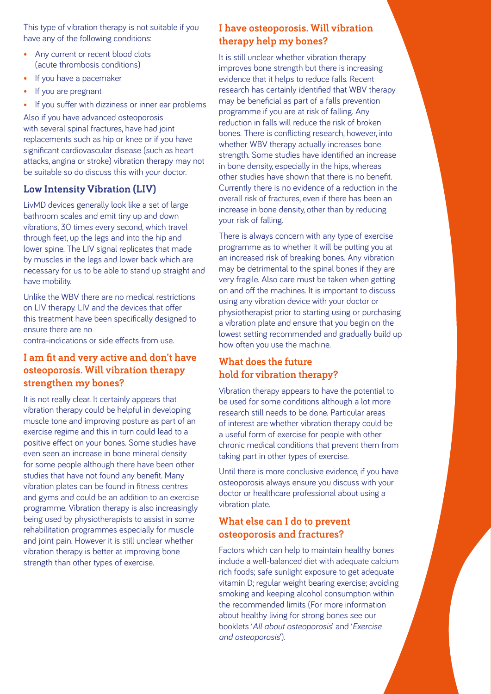This type of vibration therapy is not suitable if you have any of the following conditions:

- Any current or recent blood clots (acute thrombosis conditions)
- If you have a pacemaker
- If you are pregnant
- If you suffer with dizziness or inner ear problems

Also if you have advanced osteoporosis with several spinal fractures, have had joint replacements such as hip or knee or if you have significant cardiovascular disease (such as heart attacks, angina or stroke) vibration therapy may not be suitable so do discuss this with your doctor.

# **Low Intensity Vibration (LIV)**

LivMD devices generally look like a set of large bathroom scales and emit tiny up and down vibrations, 30 times every second, which travel through feet, up the legs and into the hip and lower spine. The LIV signal replicates that made by muscles in the legs and lower back which are necessary for us to be able to stand up straight and have mobility.

Unlike the WBV there are no medical restrictions on LIV therapy. LIV and the devices that offer this treatment have been specifically designed to ensure there are no

contra-indications or side effects from use.

## **I am fit and very active and don't have osteoporosis. Will vibration therapy strengthen my bones?**

It is not really clear. It certainly appears that vibration therapy could be helpful in developing muscle tone and improving posture as part of an exercise regime and this in turn could lead to a positive effect on your bones. Some studies have even seen an increase in bone mineral density for some people although there have been other studies that have not found any benefit. Many vibration plates can be found in fitness centres and gyms and could be an addition to an exercise programme. Vibration therapy is also increasingly being used by physiotherapists to assist in some rehabilitation programmes especially for muscle and joint pain. However it is still unclear whether vibration therapy is better at improving bone strength than other types of exercise.

# **I have osteoporosis. Will vibration therapy help my bones?**

It is still unclear whether vibration therapy improves bone strength but there is increasing evidence that it helps to reduce falls. Recent research has certainly identified that WBV therapy may be beneficial as part of a falls prevention programme if you are at risk of falling. Any reduction in falls will reduce the risk of broken bones. There is conflicting research, however, into whether WBV therapy actually increases bone strength. Some studies have identified an increase in bone density, especially in the hips, whereas other studies have shown that there is no benefit. Currently there is no evidence of a reduction in the overall risk of fractures, even if there has been an increase in bone density, other than by reducing your risk of falling.

There is always concern with any type of exercise programme as to whether it will be putting you at an increased risk of breaking bones. Any vibration may be detrimental to the spinal bones if they are very fragile. Also care must be taken when getting on and off the machines. It is important to discuss using any vibration device with your doctor or physiotherapist prior to starting using or purchasing a vibration plate and ensure that you begin on the lowest setting recommended and gradually build up how often you use the machine.

# **What does the future hold for vibration therapy?**

Vibration therapy appears to have the potential to be used for some conditions although a lot more research still needs to be done. Particular areas of interest are whether vibration therapy could be a useful form of exercise for people with other chronic medical conditions that prevent them from taking part in other types of exercise.

Until there is more conclusive evidence, if you have osteoporosis always ensure you discuss with your doctor or healthcare professional about using a vibration plate.

# **What else can I do to prevent osteoporosis and fractures?**

Factors which can help to maintain healthy bones include a well-balanced diet with adequate calcium rich foods; safe sunlight exposure to get adequate vitamin D; regular weight bearing exercise; avoiding smoking and keeping alcohol consumption within the recommended limits (For more information about healthy living for strong bones see our booklets '*All about osteoporosis*' and '*Exercise and osteoporosis*').